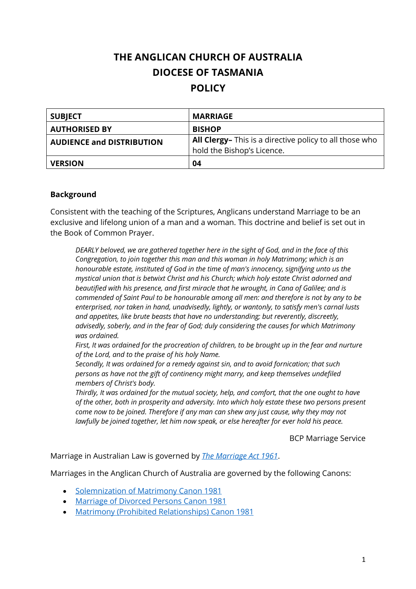# **THE ANGLICAN CHURCH OF AUSTRALIA DIOCESE OF TASMANIA POLICY**

| <b>SUBJECT</b>                   | <b>MARRIAGE</b>                                                |
|----------------------------------|----------------------------------------------------------------|
| <b>AUTHORISED BY</b>             | <b>BISHOP</b>                                                  |
| <b>AUDIENCE and DISTRIBUTION</b> | <b>All Clergy-</b> This is a directive policy to all those who |
|                                  | hold the Bishop's Licence.                                     |
| <b>VERSION</b>                   | 04                                                             |

#### **Background**

Consistent with the teaching of the Scriptures, Anglicans understand Marriage to be an exclusive and lifelong union of a man and a woman. This doctrine and belief is set out in the Book of Common Prayer.

*DEARLY beloved, we are gathered together here in the sight of God, and in the face of this Congregation, to join together this man and this woman in holy Matrimony; which is an honourable estate, instituted of God in the time of man's innocency, signifying unto us the mystical union that is betwixt Christ and his Church; which holy estate Christ adorned and beautified with his presence, and first miracle that he wrought, in Cana of Galilee; and is commended of Saint Paul to be honourable among all men: and therefore is not by any to be enterprised, nor taken in hand, unadvisedly, lightly, or wantonly, to satisfy men's carnal lusts and appetites, like brute beasts that have no understanding; but reverently, discreetly, advisedly, soberly, and in the fear of God; duly considering the causes for which Matrimony was ordained.*

*First, It was ordained for the procreation of children, to be brought up in the fear and nurture of the Lord, and to the praise of his holy Name.*

*Secondly, It was ordained for a remedy against sin, and to avoid fornication; that such persons as have not the gift of continency might marry, and keep themselves undefiled members of Christ's body.*

*Thirdly, It was ordained for the mutual society, help, and comfort, that the one ought to have of the other, both in prosperity and adversity. Into which holy estate these two persons present come now to be joined. Therefore if any man can shew any just cause, why they may not lawfully be joined together, let him now speak, or else hereafter for ever hold his peace.*

BCP Marriage Service

Marriage in Australian Law is governed by *The Marriage Act 1961*.

Marriages in the Anglican Church of Australia are governed by the following Canons:

- Solemnization of Matrimony Canon 1981
- Marriage of Divorced Persons Canon 1981
- Matrimony (Prohibited Relationships) Canon 1981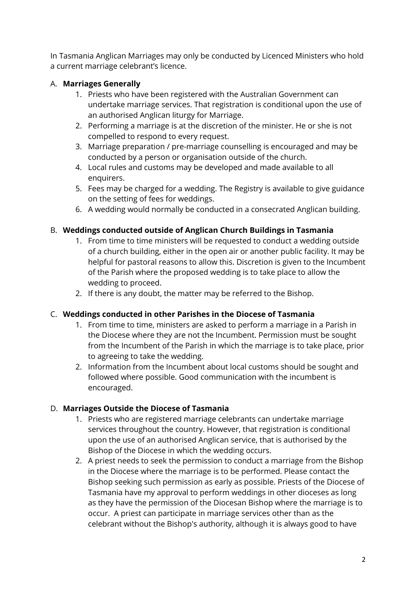In Tasmania Anglican Marriages may only be conducted by Licenced Ministers who hold a current marriage celebrant's licence.

## A. **Marriages Generally**

- 1. Priests who have been registered with the Australian Government can undertake marriage services. That registration is conditional upon the use of an authorised Anglican liturgy for Marriage.
- 2. Performing a marriage is at the discretion of the minister. He or she is not compelled to respond to every request.
- 3. Marriage preparation / pre-marriage counselling is encouraged and may be conducted by a person or organisation outside of the church.
- 4. Local rules and customs may be developed and made available to all enquirers.
- 5. Fees may be charged for a wedding. The Registry is available to give guidance on the setting of fees for weddings.
- 6. A wedding would normally be conducted in a consecrated Anglican building.

## B. **Weddings conducted outside of Anglican Church Buildings in Tasmania**

- 1. From time to time ministers will be requested to conduct a wedding outside of a church building, either in the open air or another public facility. It may be helpful for pastoral reasons to allow this. Discretion is given to the Incumbent of the Parish where the proposed wedding is to take place to allow the wedding to proceed.
- 2. If there is any doubt, the matter may be referred to the Bishop.

#### C. **Weddings conducted in other Parishes in the Diocese of Tasmania**

- 1. From time to time, ministers are asked to perform a marriage in a Parish in the Diocese where they are not the Incumbent. Permission must be sought from the Incumbent of the Parish in which the marriage is to take place, prior to agreeing to take the wedding.
- 2. Information from the Incumbent about local customs should be sought and followed where possible. Good communication with the incumbent is encouraged.

#### D. **Marriages Outside the Diocese of Tasmania**

- 1. Priests who are registered marriage celebrants can undertake marriage services throughout the country. However, that registration is conditional upon the use of an authorised Anglican service, that is authorised by the Bishop of the Diocese in which the wedding occurs.
- 2. A priest needs to seek the permission to conduct a marriage from the Bishop in the Diocese where the marriage is to be performed. Please contact the Bishop seeking such permission as early as possible. Priests of the Diocese of Tasmania have my approval to perform weddings in other dioceses as long as they have the permission of the Diocesan Bishop where the marriage is to occur. A priest can participate in marriage services other than as the celebrant without the Bishop's authority, although it is always good to have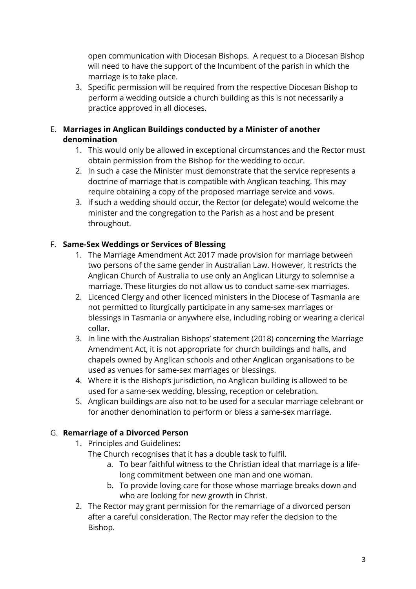open communication with Diocesan Bishops. A request to a Diocesan Bishop will need to have the support of the Incumbent of the parish in which the marriage is to take place.

3. Specific permission will be required from the respective Diocesan Bishop to perform a wedding outside a church building as this is not necessarily a practice approved in all dioceses.

#### E. **Marriages in Anglican Buildings conducted by a Minister of another denomination**

- 1. This would only be allowed in exceptional circumstances and the Rector must obtain permission from the Bishop for the wedding to occur.
- 2. In such a case the Minister must demonstrate that the service represents a doctrine of marriage that is compatible with Anglican teaching. This may require obtaining a copy of the proposed marriage service and vows.
- 3. If such a wedding should occur, the Rector (or delegate) would welcome the minister and the congregation to the Parish as a host and be present throughout.

## F. **Same-Sex Weddings or Services of Blessing**

- 1. The Marriage Amendment Act 2017 made provision for marriage between two persons of the same gender in Australian Law. However, it restricts the Anglican Church of Australia to use only an Anglican Liturgy to solemnise a marriage. These liturgies do not allow us to conduct same-sex marriages.
- 2. Licenced Clergy and other licenced ministers in the Diocese of Tasmania are not permitted to liturgically participate in any same-sex marriages or blessings in Tasmania or anywhere else, including robing or wearing a clerical collar.
- 3. In line with the Australian Bishops' statement (2018) concerning the Marriage Amendment Act, it is not appropriate for church buildings and halls, and chapels owned by Anglican schools and other Anglican organisations to be used as venues for same-sex marriages or blessings.
- 4. Where it is the Bishop's jurisdiction, no Anglican building is allowed to be used for a same-sex wedding, blessing, reception or celebration.
- 5. Anglican buildings are also not to be used for a secular marriage celebrant or for another denomination to perform or bless a same-sex marriage.

#### G. **Remarriage of a Divorced Person**

- 1. Principles and Guidelines:
	- The Church recognises that it has a double task to fulfil.
		- a. To bear faithful witness to the Christian ideal that marriage is a lifelong commitment between one man and one woman.
		- b. To provide loving care for those whose marriage breaks down and who are looking for new growth in Christ.
- 2. The Rector may grant permission for the remarriage of a divorced person after a careful consideration. The Rector may refer the decision to the Bishop.